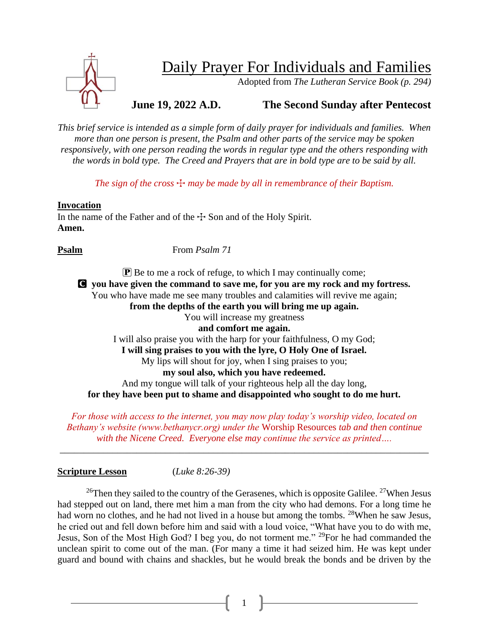# Daily Prayer For Individuals and Families

Adopted from *The Lutheran Service Book (p. 294)*

# **June 19, 2022 A.D. The Second Sunday after Pentecost**

*This brief service is intended as a simple form of daily prayer for individuals and families. When more than one person is present, the Psalm and other parts of the service may be spoken responsively, with one person reading the words in regular type and the others responding with the words in bold type. The Creed and Prayers that are in bold type are to be said by all.*

*The sign of the cross*  $\pm$  *may be made by all in remembrance of their Baptism.* 

#### **Invocation**

In the name of the Father and of the  $\pm$  Son and of the Holy Spirit. **Amen.**

**Psalm** From *Psalm* 71

 $\mathbf{P}$  Be to me a rock of refuge, to which I may continually come; C **you have given the command to save me, for you are my rock and my fortress.** You who have made me see many troubles and calamities will revive me again; **from the depths of the earth you will bring me up again.** You will increase my greatness **and comfort me again.** I will also praise you with the harp for your faithfulness, O my God; **I will sing praises to you with the lyre, O Holy One of Israel.** My lips will shout for joy, when I sing praises to you; **my soul also, which you have redeemed.** And my tongue will talk of your righteous help all the day long, **for they have been put to shame and disappointed who sought to do me hurt.**

*For those with access to the internet, you may now play today's worship video, located on Bethany's website (www.bethanycr.org) under the* Worship Resources *tab and then continue with the Nicene Creed. Everyone else may continue the service as printed….*

\_\_\_\_\_\_\_\_\_\_\_\_\_\_\_\_\_\_\_\_\_\_\_\_\_\_\_\_\_\_\_\_\_\_\_\_\_\_\_\_\_\_\_\_\_\_\_\_\_\_\_\_\_\_\_\_\_\_\_\_\_\_\_\_\_\_\_\_\_\_\_\_\_\_\_\_\_

**Scripture Lesson** (*Luke 8:26-39)*

<sup>26</sup>Then they sailed to the country of the Gerasenes, which is opposite Galilee. <sup>27</sup>When Jesus had stepped out on land, there met him a man from the city who had demons. For a long time he had worn no clothes, and he had not lived in a house but among the tombs. <sup>28</sup>When he saw Jesus, he cried out and fell down before him and said with a loud voice, "What have you to do with me, Jesus, Son of the Most High God? I beg you, do not torment me." <sup>29</sup>For he had commanded the unclean spirit to come out of the man. (For many a time it had seized him. He was kept under guard and bound with chains and shackles, but he would break the bonds and be driven by the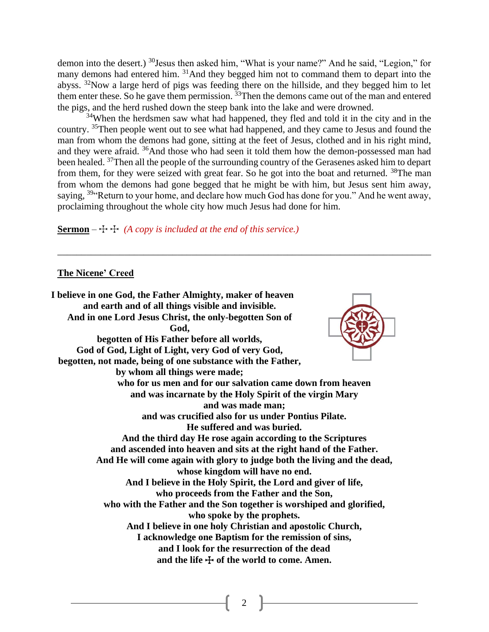demon into the desert.) <sup>30</sup>Jesus then asked him, "What is your name?" And he said, "Legion," for many demons had entered him. <sup>31</sup>And they begged him not to command them to depart into the abyss. <sup>32</sup>Now a large herd of pigs was feeding there on the hillside, and they begged him to let them enter these. So he gave them permission. <sup>33</sup>Then the demons came out of the man and entered the pigs, and the herd rushed down the steep bank into the lake and were drowned.

<sup>34</sup>When the herdsmen saw what had happened, they fled and told it in the city and in the country. <sup>35</sup>Then people went out to see what had happened, and they came to Jesus and found the man from whom the demons had gone, sitting at the feet of Jesus, clothed and in his right mind, and they were afraid. <sup>36</sup>And those who had seen it told them how the demon-possessed man had been healed. <sup>37</sup>Then all the people of the surrounding country of the Gerasenes asked him to depart from them, for they were seized with great fear. So he got into the boat and returned. <sup>38</sup>The man from whom the demons had gone begged that he might be with him, but Jesus sent him away, saying, <sup>39</sup> Return to your home, and declare how much God has done for you." And he went away, proclaiming throughout the whole city how much Jesus had done for him.

\_\_\_\_\_\_\_\_\_\_\_\_\_\_\_\_\_\_\_\_\_\_\_\_\_\_\_\_\_\_\_\_\_\_\_\_\_\_\_\_\_\_\_\_\_\_\_\_\_\_\_\_\_\_\_\_\_\_\_\_\_\_\_\_\_\_\_\_\_\_\_\_\_\_\_\_\_\_

**Sermon** –  $\div$   $\div$  *(A copy is included at the end of this service.)* 

#### **The Nicene' Creed**

**I believe in one God, the Father Almighty, maker of heaven and earth and of all things visible and invisible. And in one Lord Jesus Christ, the only-begotten Son of God, begotten of His Father before all worlds, God of God, Light of Light, very God of very God, begotten, not made, being of one substance with the Father, by whom all things were made; who for us men and for our salvation came down from heaven and was incarnate by the Holy Spirit of the virgin Mary and was made man; and was crucified also for us under Pontius Pilate. He suffered and was buried. And the third day He rose again according to the Scriptures and ascended into heaven and sits at the right hand of the Father. And He will come again with glory to judge both the living and the dead, whose kingdom will have no end. And I believe in the Holy Spirit, the Lord and giver of life, who proceeds from the Father and the Son, who with the Father and the Son together is worshiped and glorified, who spoke by the prophets. And I believe in one holy Christian and apostolic Church, I acknowledge one Baptism for the remission of sins, and I look for the resurrection of the dead** and the life  $\div$  of the world to come. Amen.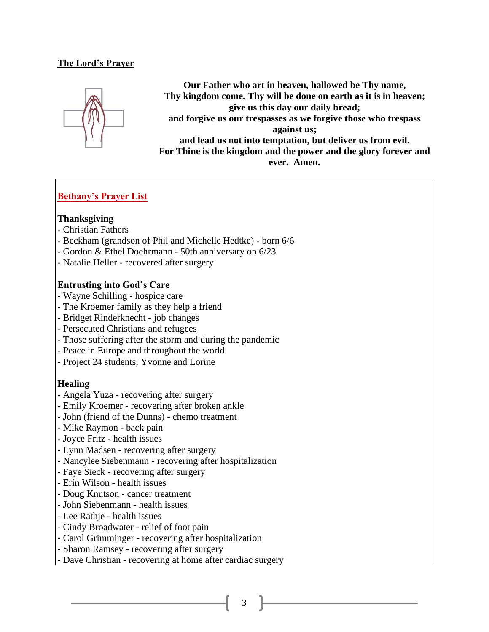### **The Lord's Prayer**



**Our Father who art in heaven, hallowed be Thy name, Thy kingdom come, Thy will be done on earth as it is in heaven; give us this day our daily bread; and forgive us our trespasses as we forgive those who trespass against us; and lead us not into temptation, but deliver us from evil. For Thine is the kingdom and the power and the glory forever and ever. Amen.**

## **Bethany's Prayer List**

#### **Thanksgiving**

- Christian Fathers
- Beckham (grandson of Phil and Michelle Hedtke) born 6/6
- Gordon & Ethel Doehrmann 50th anniversary on 6/23
- Natalie Heller recovered after surgery

#### **Entrusting into God's Care**

- Wayne Schilling hospice care
- The Kroemer family as they help a friend
- Bridget Rinderknecht job changes
- Persecuted Christians and refugees
- Those suffering after the storm and during the pandemic
- Peace in Europe and throughout the world
- Project 24 students, Yvonne and Lorine

#### **Healing**

- Angela Yuza recovering after surgery
- Emily Kroemer recovering after broken ankle
- John (friend of the Dunns) chemo treatment
- Mike Raymon back pain
- Joyce Fritz health issues
- Lynn Madsen recovering after surgery
- Nancylee Siebenmann recovering after hospitalization
- Faye Sieck recovering after surgery
- Erin Wilson health issues
- Doug Knutson cancer treatment
- John Siebenmann health issues
- Lee Rathje health issues
- Cindy Broadwater relief of foot pain
- Carol Grimminger recovering after hospitalization
- Sharon Ramsey recovering after surgery
- Dave Christian recovering at home after cardiac surgery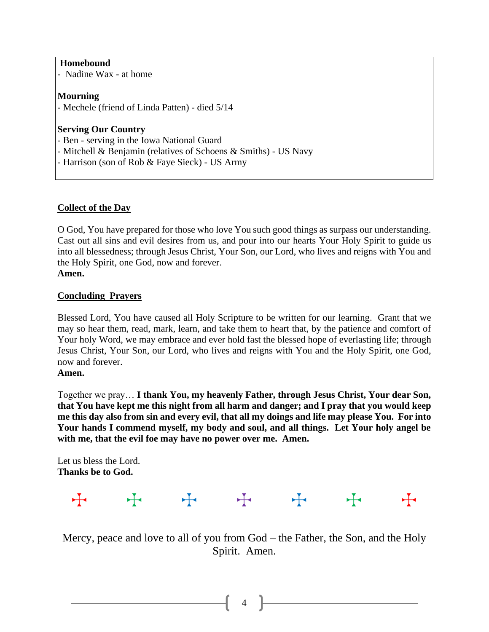#### **Homebound**

- Nadine Wax - at home

**Mourning** - Mechele (friend of Linda Patten) - died 5/14

#### **Serving Our Country**

- Ben serving in the Iowa National Guard
- Mitchell & Benjamin (relatives of Schoens & Smiths) US Navy
- Harrison (son of Rob & Faye Sieck) US Army

#### **Collect of the Day**

O God, You have prepared for those who love You such good things as surpass our understanding. Cast out all sins and evil desires from us, and pour into our hearts Your Holy Spirit to guide us into all blessedness; through Jesus Christ, Your Son, our Lord, who lives and reigns with You and the Holy Spirit, one God, now and forever. **Amen.**

#### **Concluding Prayers**

Blessed Lord, You have caused all Holy Scripture to be written for our learning. Grant that we may so hear them, read, mark, learn, and take them to heart that, by the patience and comfort of Your holy Word, we may embrace and ever hold fast the blessed hope of everlasting life; through Jesus Christ, Your Son, our Lord, who lives and reigns with You and the Holy Spirit, one God, now and forever.

#### **Amen.**

Together we pray… **I thank You, my heavenly Father, through Jesus Christ, Your dear Son, that You have kept me this night from all harm and danger; and I pray that you would keep me this day also from sin and every evil, that all my doings and life may please You. For into Your hands I commend myself, my body and soul, and all things. Let Your holy angel be with me, that the evil foe may have no power over me. Amen.**

Let us bless the Lord. **Thanks be to God.**



Mercy, peace and love to all of you from God – the Father, the Son, and the Holy Spirit. Amen.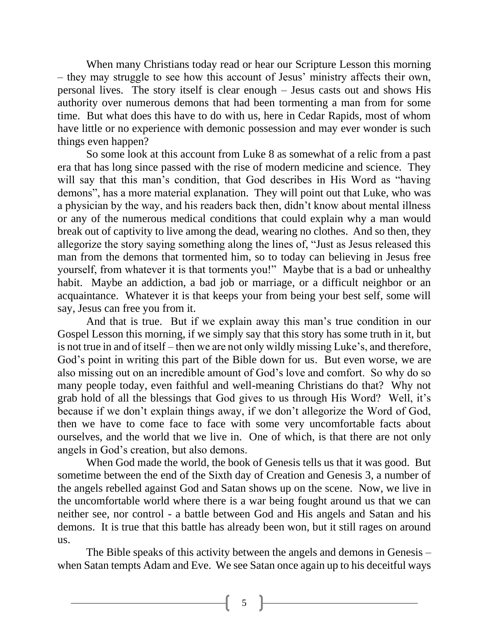When many Christians today read or hear our Scripture Lesson this morning – they may struggle to see how this account of Jesus' ministry affects their own, personal lives. The story itself is clear enough – Jesus casts out and shows His authority over numerous demons that had been tormenting a man from for some time. But what does this have to do with us, here in Cedar Rapids, most of whom have little or no experience with demonic possession and may ever wonder is such things even happen?

So some look at this account from Luke 8 as somewhat of a relic from a past era that has long since passed with the rise of modern medicine and science. They will say that this man's condition, that God describes in His Word as "having demons", has a more material explanation. They will point out that Luke, who was a physician by the way, and his readers back then, didn't know about mental illness or any of the numerous medical conditions that could explain why a man would break out of captivity to live among the dead, wearing no clothes. And so then, they allegorize the story saying something along the lines of, "Just as Jesus released this man from the demons that tormented him, so to today can believing in Jesus free yourself, from whatever it is that torments you!" Maybe that is a bad or unhealthy habit. Maybe an addiction, a bad job or marriage, or a difficult neighbor or an acquaintance. Whatever it is that keeps your from being your best self, some will say, Jesus can free you from it.

And that is true. But if we explain away this man's true condition in our Gospel Lesson this morning, if we simply say that this story has some truth in it, but is not true in and of itself – then we are not only wildly missing Luke's, and therefore, God's point in writing this part of the Bible down for us. But even worse, we are also missing out on an incredible amount of God's love and comfort. So why do so many people today, even faithful and well-meaning Christians do that? Why not grab hold of all the blessings that God gives to us through His Word? Well, it's because if we don't explain things away, if we don't allegorize the Word of God, then we have to come face to face with some very uncomfortable facts about ourselves, and the world that we live in. One of which, is that there are not only angels in God's creation, but also demons.

When God made the world, the book of Genesis tells us that it was good. But sometime between the end of the Sixth day of Creation and Genesis 3, a number of the angels rebelled against God and Satan shows up on the scene. Now, we live in the uncomfortable world where there is a war being fought around us that we can neither see, nor control - a battle between God and His angels and Satan and his demons. It is true that this battle has already been won, but it still rages on around us.

The Bible speaks of this activity between the angels and demons in Genesis – when Satan tempts Adam and Eve. We see Satan once again up to his deceitful ways